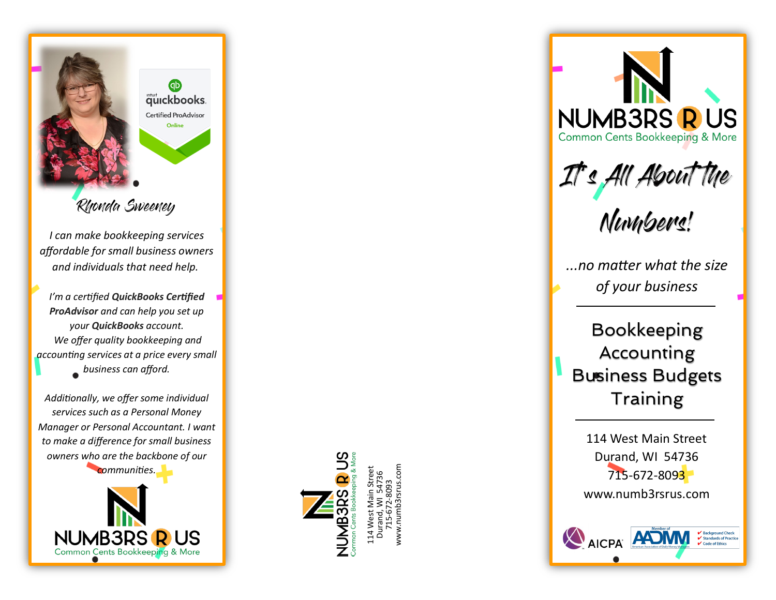

Rhonda Sweeney

*I can make bookkeeping services affordable for small business owners and individuals that need help.*

*I 'm a certified QuickBooks Certified ProAdvisor and can help you set up your QuickBooks account. We offer quality bookkeeping and accounting services at a price every small business can afford.* 

*Additionally, we offer some individual services such as a Personal Money Manager or Personal Accountant. I want to make a difference for small business owners who are the backbone of our* 

*communities.* 





114 West Main Street Durand, WI 54736 715-672-8093 www.numb3rsrus.com **NUMB3RS R US Common Cents Bookkeeping & More** 

It's All About the

Numbers!

*...no matter what the size of your business*

Bookkeeping Accounting Business Budgets **Training** 

114 West Main Street Durand, WI 54736 715-672-809<mark>3</mark> www.numb3rsrus.com

✔ Background Check<br>✔ Standards of Practice

 $\mathbf{\nabla}$  Code of Ethics

AICPA **ADM**